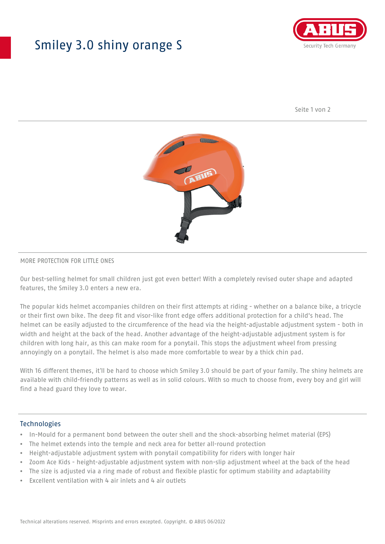## Smiley 3.0 shiny orange S



Seite 1 von 2



#### MORE PROTECTION FOR LITTLE ONES

Our best-selling helmet for small children just got even better! With a completely revised outer shape and adapted features, the Smiley 3.0 enters a new era.

The popular kids helmet accompanies children on their first attempts at riding - whether on a balance bike, a tricycle or their first own bike. The deep fit and visor-like front edge offers additional protection for a child's head. The helmet can be easily adjusted to the circumference of the head via the height-adjustable adjustment system - both in width and height at the back of the head. Another advantage of the height-adjustable adjustment system is for children with long hair, as this can make room for a ponytail. This stops the adjustment wheel from pressing annoyingly on a ponytail. The helmet is also made more comfortable to wear by a thick chin pad.

With 16 different themes, it'll be hard to choose which Smiley 3.0 should be part of your family. The shiny helmets are available with child-friendly patterns as well as in solid colours. With so much to choose from, every boy and girl will find a head guard they love to wear.

#### **Technologies**

- In-Mould for a permanent bond between the outer shell and the shock-absorbing helmet material (EPS)
- The helmet extends into the temple and neck area for better all-round protection
- Height-adjustable adjustment system with ponytail compatibility for riders with longer hair
- Zoom Ace Kids height-adjustable adjustment system with non-slip adjustment wheel at the back of the head
- The size is adjusted via a ring made of robust and flexible plastic for optimum stability and adaptability
- Excellent ventilation with 4 air inlets and 4 air outlets